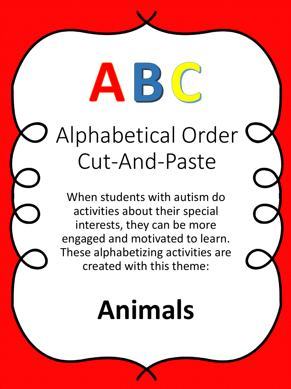# Alphabetical Order C Cut-And-Paste

ABC

When students with autism do activities about their special interests, they can be more engaged and motivated to learn. These alphabetizing activities are created with this theme:

## **Animals**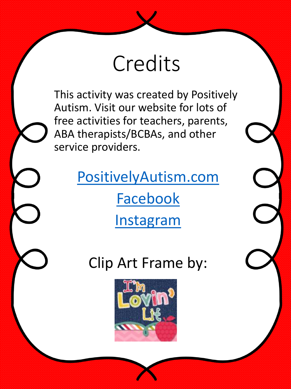## Credits

This activity was created by Positively Autism. Visit our website for lots of free activities for teachers, parents, ABA therapists/BCBAs, and other service providers.

> [PositivelyAutism.com](http://www.positivelyautism.com/) [Facebook](https://www.facebook.com/PositivelyAutism/)

> > [Instagram](https://www.instagram.com/positivelyautism/)

Clip Art Frame by:

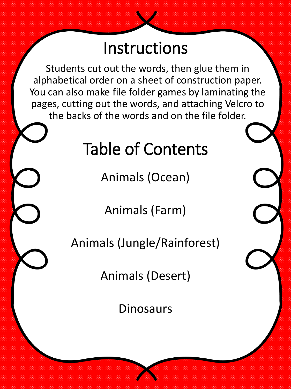### Instructions

Students cut out the words, then glue them in alphabetical order on a sheet of construction paper. You can also make file folder games by laminating the pages, cutting out the words, and attaching Velcro to the backs of the words and on the file folder.

## Table of Contents

Animals (Ocean)

Animals (Farm)

Animals (Jungle/Rainforest)

### Animals (Desert)

#### **Dinosaurs**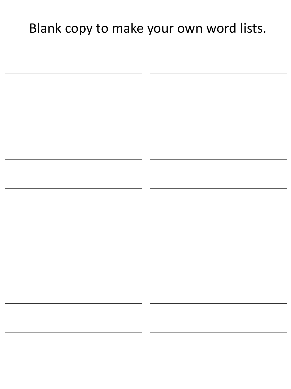### Blank copy to make your own word lists.

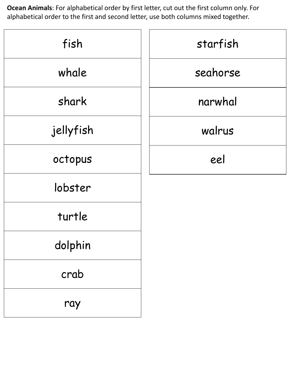

| fish      | starfish |
|-----------|----------|
| whale     | seahorse |
| shark     | narwhal  |
| jellyfish | walrus   |
| octopus   | eel      |
| lobster   |          |
| turtle    |          |
| dolphin   |          |
|           |          |

**Ocean Animals**: For alphabetical order by first letter, cut out the first column only. For alphabetical order to the first and second letter, use both columns mixed together.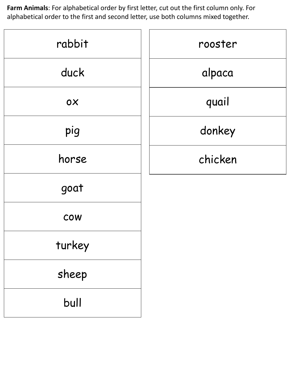

| rabbit | rooster |
|--------|---------|
| duck   | alpaca  |
| OX     | quail   |
| pig    | donkey  |
| horse  | chicken |
| goat   |         |
| COW    |         |
| turkey |         |
|        |         |

**Farm Animals**: For alphabetical order by first letter, cut out the first column only. For alphabetical order to the first and second letter, use both columns mixed together.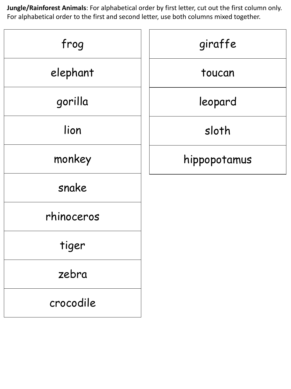## zebra crocodile

| frog       | giraffe      |
|------------|--------------|
| elephant   | toucan       |
| gorilla    | leopard      |
| lion       | sloth        |
| monkey     | hippopotamus |
| snake      |              |
| rhinoceros |              |
| tiger      |              |
|            |              |

**Jungle/Rainforest Animals**: For alphabetical order by first letter, cut out the first column only. For alphabetical order to the first and second letter, use both columns mixed together.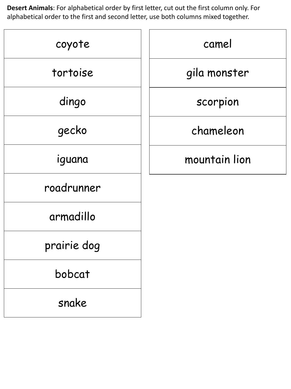

| coyote      | camel         |
|-------------|---------------|
| tortoise    | gila monster  |
| dingo       | scorpion      |
| gecko       | chameleon     |
| iquana      | mountain lion |
| roadrunner  |               |
| armadillo   |               |
| prairie dog |               |
|             |               |

**Desert Animals**: For alphabetical order by first letter, cut out the first column only. For alphabetical order to the first and second letter, use both columns mixed together.